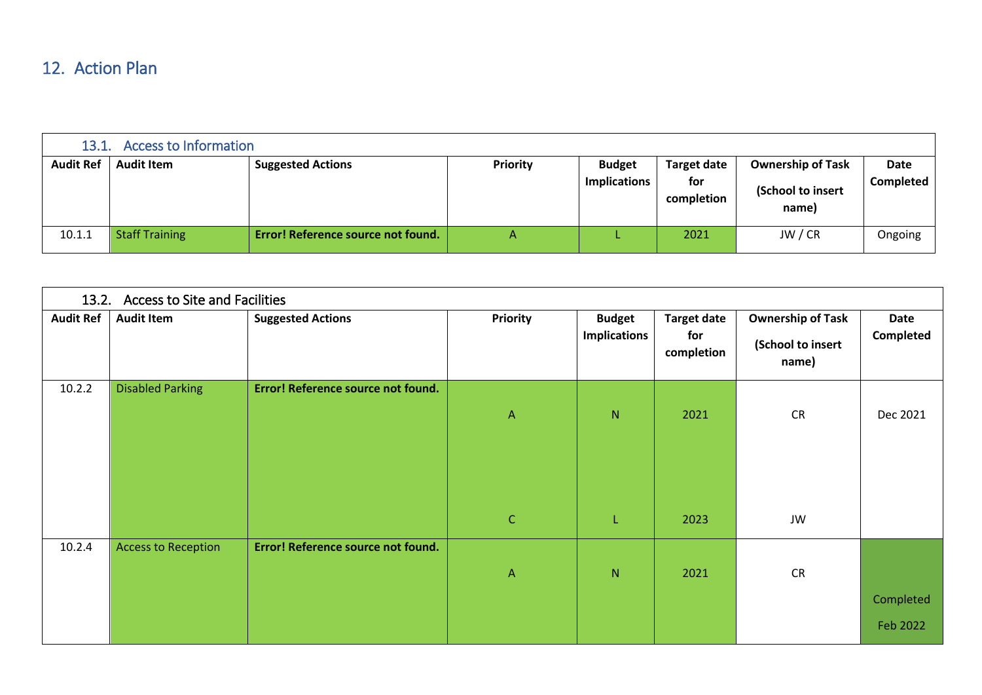## 12. Action Plan

| Access to Information<br>13.1. |                       |                                    |                 |                     |                    |                            |                  |  |
|--------------------------------|-----------------------|------------------------------------|-----------------|---------------------|--------------------|----------------------------|------------------|--|
| <b>Audit Ref</b>               | <b>Audit Item</b>     | <b>Suggested Actions</b>           | <b>Priority</b> | <b>Budget</b>       | <b>Target date</b> | <b>Ownership of Task</b>   | Date             |  |
|                                |                       |                                    |                 | <b>Implications</b> | for<br>completion  | (School to insert<br>name) | <b>Completed</b> |  |
| 10.1.1                         | <b>Staff Training</b> | Error! Reference source not found. | Α               |                     | 2021               | JW / CR                    | Ongoing          |  |

| 13.2. Access to Site and Facilities |                            |                                    |                              |                                      |                                         |                                                        |                   |  |
|-------------------------------------|----------------------------|------------------------------------|------------------------------|--------------------------------------|-----------------------------------------|--------------------------------------------------------|-------------------|--|
| <b>Audit Ref</b>                    | <b>Audit Item</b>          | <b>Suggested Actions</b>           | <b>Priority</b>              | <b>Budget</b><br><b>Implications</b> | <b>Target date</b><br>for<br>completion | <b>Ownership of Task</b><br>(School to insert<br>name) | Date<br>Completed |  |
| 10.2.2                              | <b>Disabled Parking</b>    | Error! Reference source not found. | $\mathsf{A}$<br>$\mathsf{C}$ | ${\sf N}$<br>L                       | 2021<br>2023                            | <b>CR</b><br>JW                                        | Dec 2021          |  |
| 10.2.4                              | <b>Access to Reception</b> | Error! Reference source not found. | $\mathsf{A}$                 | $\mathsf{N}$                         | 2021                                    | <b>CR</b>                                              | Completed         |  |
|                                     |                            |                                    |                              |                                      |                                         |                                                        | Feb 2022          |  |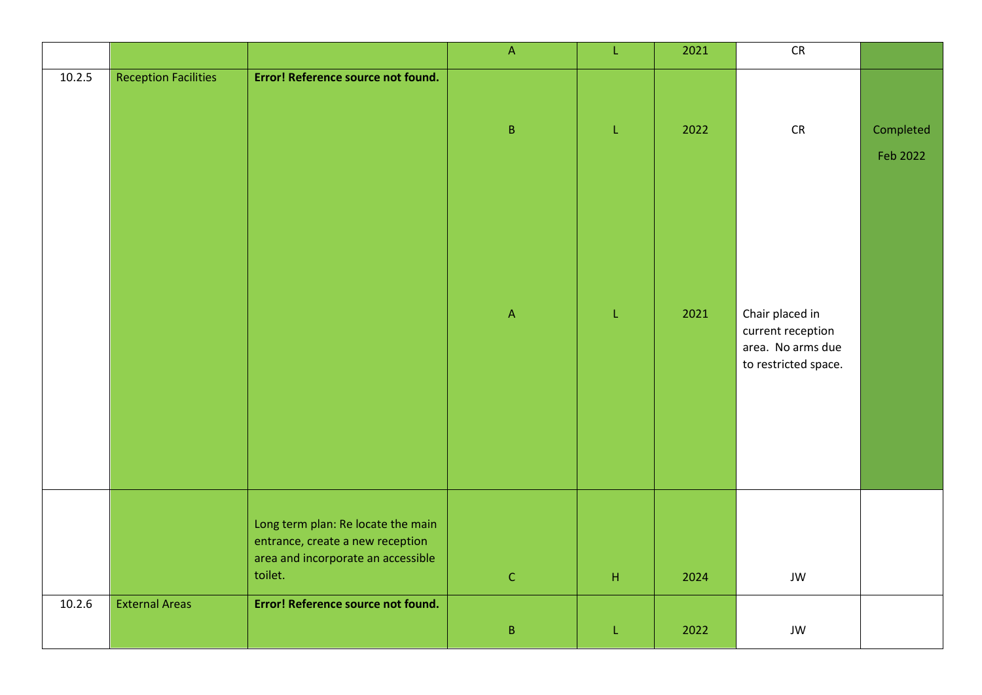|        |                             |                                                                                                                         | $\mathsf{A}% _{\mathsf{A}}^{\prime}=\mathsf{A}_{\mathsf{A}}^{\prime}$ | L           | 2021 | ${\sf CR}$                                                                        |           |
|--------|-----------------------------|-------------------------------------------------------------------------------------------------------------------------|-----------------------------------------------------------------------|-------------|------|-----------------------------------------------------------------------------------|-----------|
| 10.2.5 | <b>Reception Facilities</b> | Error! Reference source not found.                                                                                      |                                                                       |             |      |                                                                                   |           |
|        |                             |                                                                                                                         | $\sf B$                                                               | L           | 2022 | CR                                                                                | Completed |
|        |                             |                                                                                                                         |                                                                       |             |      |                                                                                   | Feb 2022  |
|        |                             |                                                                                                                         | $\mathsf{A}% _{\mathsf{A}}^{\prime}=\mathsf{A}_{\mathsf{A}}^{\prime}$ | L           | 2021 | Chair placed in<br>current reception<br>area. No arms due<br>to restricted space. |           |
|        |                             | Long term plan: Re locate the main<br>entrance, create a new reception<br>area and incorporate an accessible<br>toilet. |                                                                       |             |      |                                                                                   |           |
|        |                             |                                                                                                                         | $\mathsf C$                                                           | $\mathsf H$ | 2024 | JW                                                                                |           |
| 10.2.6 | <b>External Areas</b>       | Error! Reference source not found.                                                                                      | $\sf B$                                                               | L           | 2022 | JW                                                                                |           |